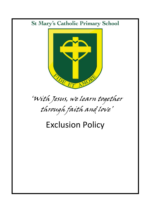### **St Mary's Catholic Primary School**



# 'With Jesus, we learn together through faith and love'

## Exclusion Policy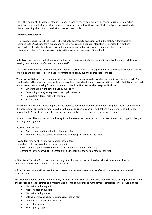It is the policy of St. Mary's Catholic Primary School to try to deal with all behavioural issues in an active, positive way, employing a wide range of strategies, including those specifically designed to avoid such issues reaching the point of exclusion. (See Behaviour Policy).

#### **Purpose of this policy**

This policy is designed to briefly outline the school's approach to exclusions within the statutory framework as defined in the 'Exclusion from maintained schools, Academies and pupil referral units in England'*.* It outlines only where the school appliesits own additional guidance and policies, which complement and reinforce the statutory guidance, for purposes of clarity in the day-to-day operation of the school.

A decision to exclude a pupil, either for a fixed period or permanently is seen as a last resort by the school while always bearing in mind our duty of care to pupils and staff.

The school is responsible for communicating to pupils, parents and staff its expectations of standards of conduct. A range of policies and procedures are in place to promote good behaviour and appropriate conduct.

The school will take account of any special educational needs when considering whether or not to exclude a pupil. The Headteacher will ensure that reasonable steps have been taken by the school to respond to a pupil's disability so the pupil is not treated less favourably for reasons related to the disability. Reasonable steps will include:

- Differentiation in the school's Behaviour Policy
- Developing strategies to prevent the pupil's behaviour
- Requesting external help with the pupil
- Staff training

Where reasonable adjustments to policies and practices have been made to accommodate a pupil's needs and to avoid the necessity for exclusion as far as possible, although exclusion may be justified if there is a material and substantial reason for it. A specific incident affecting order and discipline in the school may be such a reason.

No exclusion will be initiated without having first exhausted other strategies or, in the case of a serious single incident, a thorough investigation.

Reasons for exclusion:

- **•** Serious breach of the school's rules or policies
- Risk of harm to the education or welfare of the pupil or others in the school

A student may be at risk of exclusion from school for:

- Verbal or physical assault of a student or adult;
- Persistent and repetitive disruption of lessons and other students' learning;
- Extreme misbehaviour which is deemed outside the remit of the normal range of sanctions.

A Fixed Term Exclusion from the school can only be authorised by the Headteacher who will inform the chair of governors. The Head teacher will also inform the LA.

A fixed term exclusion will be used for the shortest time necessary to secure benefits without adverse educational consequences.

Exclusion for a period of time from half a day to 5 days for persistent or cumulative problems would be imposed only when the school had already offered and implemented a range of support and management strategies. These could include:

- Discussion with the pupil
- Mentoring (adult support)
- Discussion with parents
- Setting targets and agreeing an individual action plan
- Checking on any possible provocation
- Internal seclusion
- Multi-agency support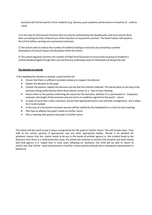Exclusion will not be used for minor incidents (e.g. lateness, poor academic performance or breaches of uniform rules).

1) In the case of a Permanent Exclusion this can only be authorised by the Headteacher and must only be done after consulting the Chair of Governors of the intention to impose thissanction. The Head Teacher will speak to the LA first before carrying out a permanent exclusion.

2) The school seeks to reduce the number of incidents leading to exclusions by promoting a positive atmosphere of mutual respect and discipline within the school.

3) The school regularly monitors the number of Fixed Term Exclusions to ensure that no group of students is unfairly disadvantaged through their use and that any underlying needs of individuals are being fully met.

#### **The decision to exclude**

If the Headteacher decides to exclude a pupil he/she will

- Ensure that there is sufficient recorded evidence to support the decision
- Explain the decision to the pupil
- Contact the parents, explain the decision and ask that the child be collected. This will be done on the day of the exclusion being authorised by either direct phone contact or a face-to-face meeting.
- Send a letter to the parents confirming the reason for the exclusion, whether it is a permanent or temporary exclusion, the length of the exclusion and any terms or conditions agreed for the pupil's return
- In cases of more than a day's exclusion, ensure that appropriate work is set and that arrangements are in place for it to be marked
- In the case of a Permanent Exclusion parents will be notified by the Headteacher in a face-to-face meeting.
- Plan how to address the pupil's needs on his/her return
- Plan a meeting with parents and pupil on his/her return

The school will also work to put in place a programme for the pupil on his/her return. This will include input from staff at the school, parents, if appropriate, and any other appropriate bodies. Should it be decided for whatever reason that the matter needs to be put in the hands of another agency i.e. the incident leads to the discovery that there is a child protection issue, the school will continue to monitor the situation and work closely with that agency. It is hoped that in most cases following an exclusion, the child will be able to return to school and that further input will promote in him/her a more positive attitude and a subsequent improvement in behaviour.